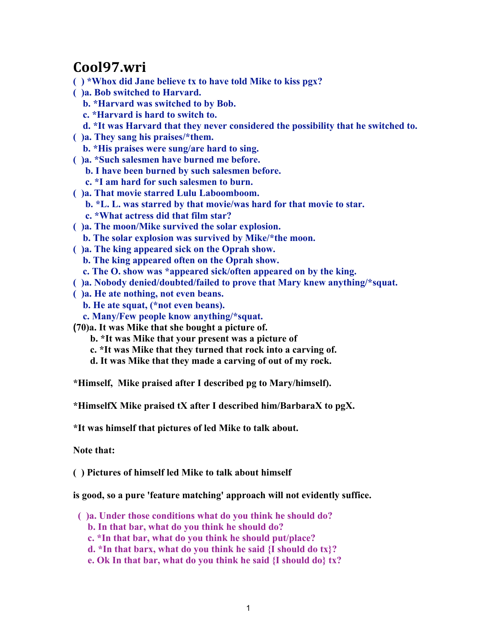## **Cool97.wri**

- **( ) \*Whox did Jane believe tx to have told Mike to kiss pgx?**
- **( )a. Bob switched to Harvard.**
	- **b. \*Harvard was switched to by Bob.**
	- **c. \*Harvard is hard to switch to.**
	- **d. \*It was Harvard that they never considered the possibility that he switched to.**
- **( )a. They sang his praises/\*them.**
	- **b. \*His praises were sung/are hard to sing.**
- **( )a. \*Such salesmen have burned me before.**
	- **b. I have been burned by such salesmen before.**
	- **c. \*I am hard for such salesmen to burn.**
- **( )a. That movie starred Lulu Laboomboom.**
	- **b. \*L. L. was starred by that movie/was hard for that movie to star.**
	- **c. \*What actress did that film star?**
- **( )a. The moon/Mike survived the solar explosion.**
- **b. The solar explosion was survived by Mike/\*the moon.**
- **( )a. The king appeared sick on the Oprah show.**
- **b. The king appeared often on the Oprah show.**
	- **c. The O. show was \*appeared sick/often appeared on by the king.**
- **( )a. Nobody denied/doubted/failed to prove that Mary knew anything/\*squat.**
- **( )a. He ate nothing, not even beans.**
	- **b. He ate squat, (\*not even beans).**
	- **c. Many/Few people know anything/\*squat.**
- **(70)a. It was Mike that she bought a picture of.**
	- **b. \*It was Mike that your present was a picture of**
	- **c. \*It was Mike that they turned that rock into a carving of.**
	- **d. It was Mike that they made a carving of out of my rock.**
- **\*Himself, Mike praised after I described pg to Mary/himself).**
- **\*HimselfX Mike praised tX after I described him/BarbaraX to pgX.**
- **\*It was himself that pictures of led Mike to talk about.**
- **Note that:**

**( ) Pictures of himself led Mike to talk about himself**

**is good, so a pure 'feature matching' approach will not evidently suffice.**

- **( )a. Under those conditions what do you think he should do?**
	- **b. In that bar, what do you think he should do?**
	- **c. \*In that bar, what do you think he should put/place?**
	- **d. \*In that barx, what do you think he said {I should do tx}?**
	- **e. Ok In that bar, what do you think he said {I should do} tx?**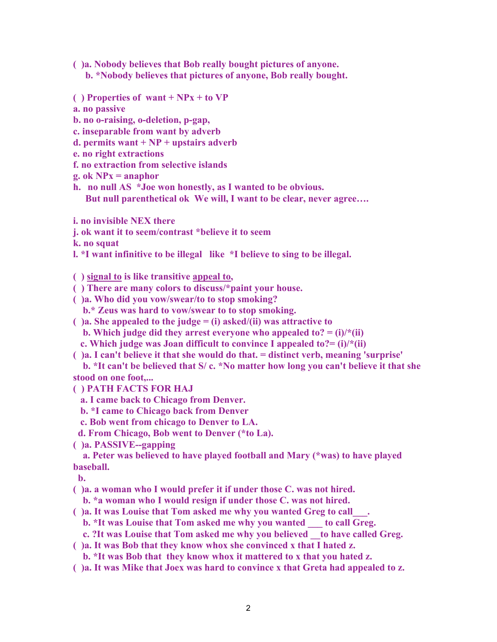**( )a. Nobody believes that Bob really bought pictures of anyone.**

 **b. \*Nobody believes that pictures of anyone, Bob really bought.**

- **( ) Properties of want + NPx + to VP**
- **a. no passive**
- **b. no o-raising, o-deletion, p-gap,**
- **c. inseparable from want by adverb**
- **d. permits want + NP + upstairs adverb**
- **e. no right extractions**
- **f. no extraction from selective islands**
- **g. ok NPx = anaphor**
- **h. no null AS \*Joe won honestly, as I wanted to be obvious. But null parenthetical ok We will, I want to be clear, never agree….**
- **i. no invisible NEX there**
- **j. ok want it to seem/contrast \*believe it to seem**
- **k. no squat**
- **l. \*I want infinitive to be illegal like \*I believe to sing to be illegal.**

**( ) signal to is like transitive appeal to,**

- **( ) There are many colors to discuss/\*paint your house.**
- **( )a. Who did you vow/swear/to to stop smoking?**
	- **b.\* Zeus was hard to vow/swear to to stop smoking.**
- **( )a. She appealed to the judge = (i) asked/(ii) was attractive to b.** Which judge did they arrest everyone who appealed to?  $=$  (i)/ $*(ii)$
- **c. Which judge was Joan difficult to convince I appealed to?= (i)/\*(ii)**
- **( )a. I can't believe it that she would do that. = distinct verb, meaning 'surprise'**

 **b. \*It can't be believed that S/ c. \*No matter how long you can't believe it that she stood on one foot,...**

- **( ) PATH FACTS FOR HAJ**
	- **a. I came back to Chicago from Denver.**
	- **b. \*I came to Chicago back from Denver**
	- **c. Bob went from chicago to Denver to LA.**
- **d. From Chicago, Bob went to Denver (\*to La).**
- **( )a. PASSIVE--gapping**

 **a. Peter was believed to have played football and Mary (\*was) to have played baseball.**

 **b.** 

**( )a. a woman who I would prefer it if under those C. was not hired.**

- **b. \*a woman who I would resign if under those C. was not hired.**
- **( )a. It was Louise that Tom asked me why you wanted Greg to call\_\_\_.**

**b. \*It was Louise that Tom asked me why you wanted to call Greg.** 

- **c. ?It was Louise that Tom asked me why you believed \_\_to have called Greg.**
- **( )a. It was Bob that they know whox she convinced x that I hated z.**
- **b. \*It was Bob that they know whox it mattered to x that you hated z.**
- **( )a. It was Mike that Joex was hard to convince x that Greta had appealed to z.**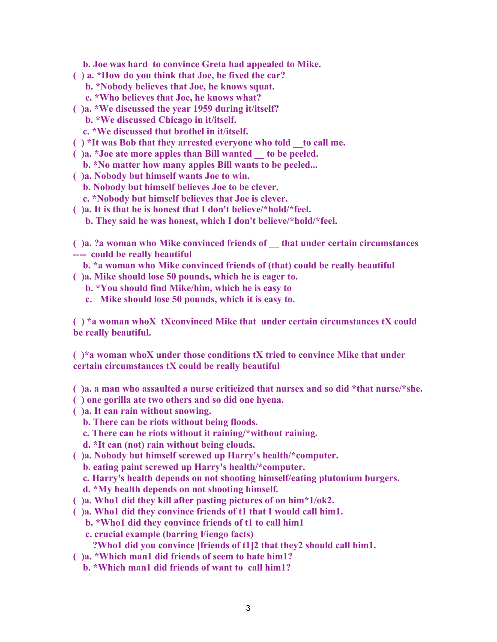**b. Joe was hard to convince Greta had appealed to Mike.**

- **( ) a. \*How do you think that Joe, he fixed the car?**
	- **b. \*Nobody believes that Joe, he knows squat.**
	- **c. \*Who believes that Joe, he knows what?**
- **( )a. \*We discussed the year 1959 during it/itself?**
	- **b. \*We discussed Chicago in it/itself.**
	- **c. \*We discussed that brothel in it/itself.**
- **( ) \*It was Bob that they arrested everyone who told \_\_to call me.**
- **( )a. \*Joe ate more apples than Bill wanted \_\_ to be peeled.**
	- **b. \*No matter how many apples Bill wants to be peeled...**
- **( )a. Nobody but himself wants Joe to win.**
	- **b. Nobody but himself believes Joe to be clever.**
	- **c. \*Nobody but himself believes that Joe is clever.**
- **( )a. It is that he is honest that I don't believe/\*hold/\*feel.**
	- **b. They said he was honest, which I don't believe/\*hold/\*feel.**

**( )a. ?a woman who Mike convinced friends of \_\_ that under certain circumstances ---- could be really beautiful**

- **b. \*a woman who Mike convinced friends of (that) could be really beautiful**
- **( )a. Mike should lose 50 pounds, which he is eager to.**
	- **b. \*You should find Mike/him, which he is easy to**
	- **c. Mike should lose 50 pounds, which it is easy to.**

**( ) \*a woman whoX tXconvinced Mike that under certain circumstances tX could be really beautiful.**

**( )\*a woman whoX under those conditions tX tried to convince Mike that under certain circumstances tX could be really beautiful**

**( )a. a man who assaulted a nurse criticized that nursex and so did \*that nurse/\*she.**

- **( ) one gorilla ate two others and so did one hyena.**
- **( )a. It can rain without snowing.**
	- **b. There can be riots without being floods.**
	- **c. There can be riots without it raining/\*without raining.**
	- **d. \*It can (not) rain without being clouds.**
- **( )a. Nobody but himself screwed up Harry's health/\*computer.**
	- **b. eating paint screwed up Harry's health/\*computer.**
	- **c. Harry's health depends on not shooting himself/eating plutonium burgers.**
	- **d. \*My health depends on not shooting himself.**
- **( )a. Who1 did they kill after pasting pictures of on him\*1/ok2.**
- **( )a. Who1 did they convince friends of t1 that I would call him1.**
	- **b. \*Who1 did they convince friends of t1 to call him1**
	- **c. crucial example (barring Fiengo facts)**
		- **?Who1 did you convince [friends of t1]2 that they2 should call him1.**
- **( )a. \*Which man1 did friends of seem to hate him1?**
	- **b. \*Which man1 did friends of want to call him1?**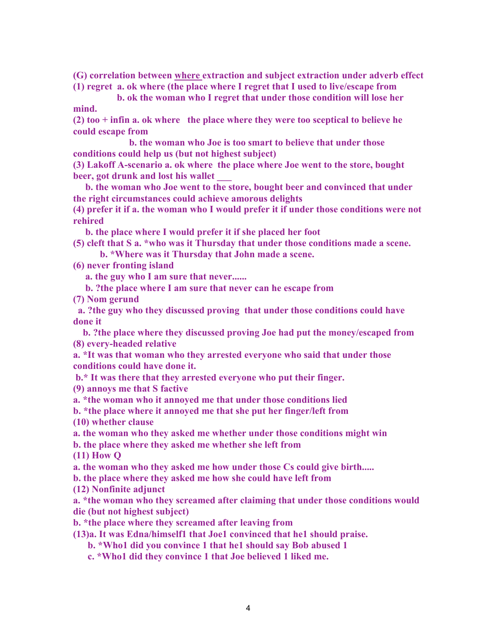**(G) correlation between where extraction and subject extraction under adverb effect (1) regret a. ok where (the place where I regret that I used to live/escape from**

 **b. ok the woman who I regret that under those condition will lose her mind.**

**(2) too + infin a. ok where the place where they were too sceptical to believe he could escape from**

 **b. the woman who Joe is too smart to believe that under those conditions could help us (but not highest subject)**

**(3) Lakoff A-scenario a. ok where the place where Joe went to the store, bought beer, got drunk and lost his wallet \_\_\_**

 **b. the woman who Joe went to the store, bought beer and convinced that under the right circumstances could achieve amorous delights**

**(4) prefer it if a. the woman who I would prefer it if under those conditions were not rehired**

 **b. the place where I would prefer it if she placed her foot**

**(5) cleft that S a. \*who was it Thursday that under those conditions made a scene. b. \*Where was it Thursday that John made a scene.**

**(6) never fronting island**

 **a. the guy who I am sure that never......**

 **b. ?the place where I am sure that never can he escape from**

**(7) Nom gerund**

 **a. ?the guy who they discussed proving that under those conditions could have done it**

 **b. ?the place where they discussed proving Joe had put the money/escaped from (8) every-headed relative**

**a. \*It was that woman who they arrested everyone who said that under those conditions could have done it.**

 **b.\* It was there that they arrested everyone who put their finger.**

**(9) annoys me that S factive**

**a. \*the woman who it annoyed me that under those conditions lied**

**b. \*the place where it annoyed me that she put her finger/left from**

**(10) whether clause**

**a. the woman who they asked me whether under those conditions might win**

**b. the place where they asked me whether she left from**

**(11) How Q**

**a. the woman who they asked me how under those Cs could give birth.....**

**b. the place where they asked me how she could have left from**

**(12) Nonfinite adjunct**

**a. \*the woman who they screamed after claiming that under those conditions would die (but not highest subject)**

**b. \*the place where they screamed after leaving from**

**(13)a. It was Edna/himself1 that Joe1 convinced that he1 should praise.**

 **b. \*Who1 did you convince 1 that he1 should say Bob abused 1**

 **c. \*Who1 did they convince 1 that Joe believed 1 liked me.**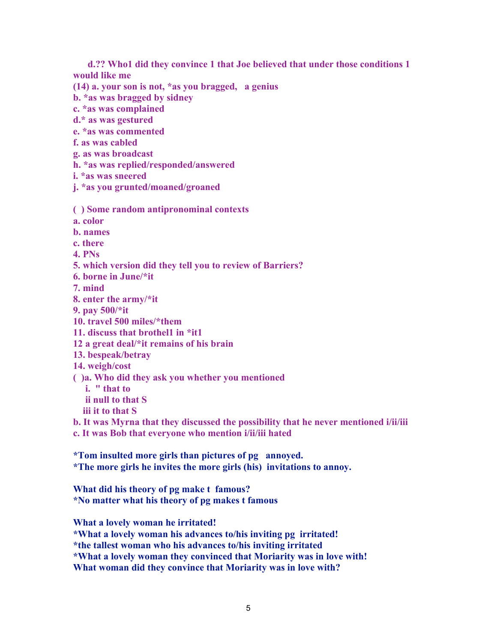**d.?? Who1 did they convince 1 that Joe believed that under those conditions 1 would like me**

**(14) a. your son is not, \*as you bragged, a genius**

**b. \*as was bragged by sidney**

**c. \*as was complained**

**d.\* as was gestured**

**e. \*as was commented**

**f. as was cabled**

**g. as was broadcast**

**h. \*as was replied/responded/answered**

**i. \*as was sneered**

**j. \*as you grunted/moaned/groaned**

**( ) Some random antipronominal contexts**

**a. color**

**b. names**

**c. there**

**4. PNs**

**5. which version did they tell you to review of Barriers?**

**6. borne in June/\*it**

**7. mind**

**8. enter the army/\*it**

**9. pay 500/\*it**

**10. travel 500 miles/\*them**

**11. discuss that brothel1 in \*it1**

**12 a great deal/\*it remains of his brain**

**13. bespeak/betray**

**14. weigh/cost**

**( )a. Who did they ask you whether you mentioned** 

 **i. " that to**

 **ii null to that S**

 **iii it to that S**

**b. It was Myrna that they discussed the possibility that he never mentioned i/ii/iii c. It was Bob that everyone who mention i/ii/iii hated**

**\*Tom insulted more girls than pictures of pg annoyed. \*The more girls he invites the more girls (his) invitations to annoy.**

**What did his theory of pg make t famous? \*No matter what his theory of pg makes t famous**

**What a lovely woman he irritated!**

**\*What a lovely woman his advances to/his inviting pg irritated!**

**\*the tallest woman who his advances to/his inviting irritated**

**\*What a lovely woman they convinced that Moriarity was in love with!**

**What woman did they convince that Moriarity was in love with?**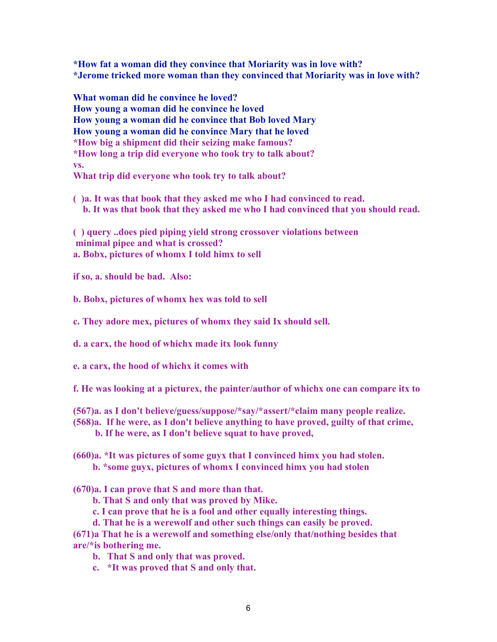**\*How fat a woman did they convince that Moriarity was in love with? \*Jerome tricked more woman than they convinced that Moriarity was in love with?**

**What woman did he convince he loved? How young a woman did he convince he loved How young a woman did he convince that Bob loved Mary How young a woman did he convince Mary that he loved \*How big a shipment did their seizing make famous? \*How long a trip did everyone who took try to talk about? vs. What trip did everyone who took try to talk about?**

**( )a. It was that book that they asked me who I had convinced to read. b. It was that book that they asked me who I had convinced that you should read.**

**( ) query ..does pied piping yield strong crossover violations between minimal pipee and what is crossed? a. Bobx, pictures of whomx I told himx to sell**

**if so, a. should be bad. Also:**

**b. Bobx, pictures of whomx hex was told to sell**

**c. They adore mex, pictures of whomx they said Ix should sell.**

**d. a carx, the hood of whichx made itx look funny**

**e. a carx, the hood of whichx it comes with**

**f. He was looking at a picturex, the painter/author of whichx one can compare itx to**

- **(567)a. as I don't believe/guess/suppose/\*say/\*assert/\*claim many people realize.**
- **(568)a. If he were, as I don't believe anything to have proved, guilty of that crime,** 
	- **b. If he were, as I don't believe squat to have proved,**
- **(660)a. \*It was pictures of some guyx that I convinced himx you had stolen. b. \*some guyx, pictures of whomx I convinced himx you had stolen**
- **(670)a. I can prove that S and more than that.**
	- **b. That S and only that was proved by Mike.**
	- **c. I can prove that he is a fool and other equally interesting things.**
	- **d. That he is a werewolf and other such things can easily be proved.**

**(671)a That he is a werewolf and something else/only that/nothing besides that are/\*is bothering me.**

- **b. That S and only that was proved.**
- **c. \*It was proved that S and only that.**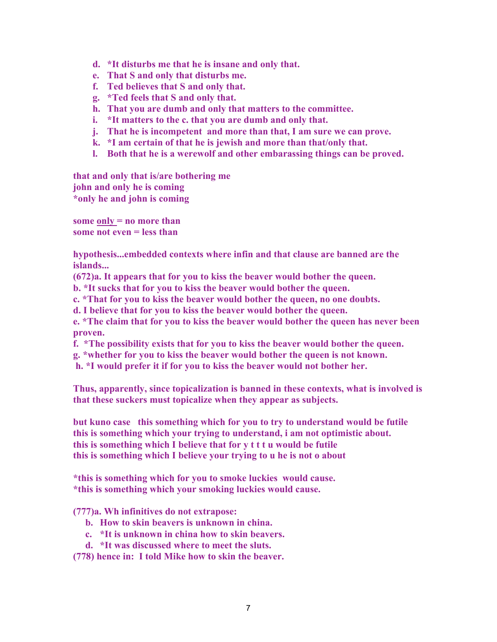- **d. \*It disturbs me that he is insane and only that.**
- **e. That S and only that disturbs me.**
- **f. Ted believes that S and only that.**
- **g. \*Ted feels that S and only that.**
- **h. That you are dumb and only that matters to the committee.**
- **i. \*It matters to the c. that you are dumb and only that.**
- **j. That he is incompetent and more than that, I am sure we can prove.**
- **k. \*I am certain of that he is jewish and more than that/only that.**
- **l. Both that he is a werewolf and other embarassing things can be proved.**

**that and only that is/are bothering me john and only he is coming \*only he and john is coming**

**some only = no more than some not even = less than**

**hypothesis...embedded contexts where infin and that clause are banned are the islands...**

**(672)a. It appears that for you to kiss the beaver would bother the queen.**

**b. \*It sucks that for you to kiss the beaver would bother the queen.**

**c. \*That for you to kiss the beaver would bother the queen, no one doubts.**

**d. I believe that for you to kiss the beaver would bother the queen.**

**e. \*The claim that for you to kiss the beaver would bother the queen has never been proven.**

**f. \*The possibility exists that for you to kiss the beaver would bother the queen.**

**g. \*whether for you to kiss the beaver would bother the queen is not known.**

 **h. \*I would prefer it if for you to kiss the beaver would not bother her.**

**Thus, apparently, since topicalization is banned in these contexts, what is involved is that these suckers must topicalize when they appear as subjects.**

**but kuno case this something which for you to try to understand would be futile this is something which your trying to understand, i am not optimistic about. this is something which I believe that for y t t t u would be futile this is something which I believe your trying to u he is not o about**

**\*this is something which for you to smoke luckies would cause. \*this is something which your smoking luckies would cause.**

**(777)a. Wh infinitives do not extrapose:**

- **b. How to skin beavers is unknown in china.**
- **c. \*It is unknown in china how to skin beavers.**
- **d. \*It was discussed where to meet the sluts.**

**(778) hence in: I told Mike how to skin the beaver.**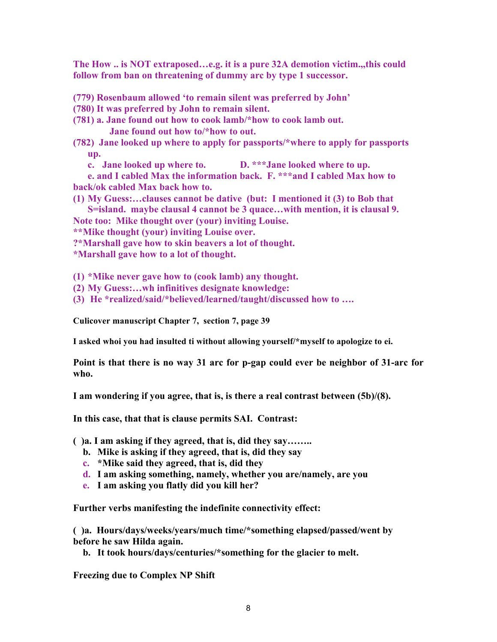**The How .. is NOT extraposed…e.g. it is a pure 32A demotion victim.,,this could follow from ban on threatening of dummy arc by type 1 successor.**

- **(779) Rosenbaum allowed 'to remain silent was preferred by John'**
- **(780) It was preferred by John to remain silent.**
- **(781) a. Jane found out how to cook lamb/\*how to cook lamb out. Jane found out how to/\*how to out.**
- **(782) Jane looked up where to apply for passports/\*where to apply for passports up.**
	- **c. Jane looked up where to. D. \*\*\*Jane looked where to up.**

**e. and I cabled Max the information back. F. \*\*\*and I cabled Max how to back/ok cabled Max back how to.**

**(1) My Guess:…clauses cannot be dative (but: I mentioned it (3) to Bob that S=island. maybe clausal 4 cannot be 3 quace…with mention, it is clausal 9.**

**Note too: Mike thought over (your) inviting Louise.**

**\*\*Mike thought (your) inviting Louise over.** 

**?\*Marshall gave how to skin beavers a lot of thought.**

**\*Marshall gave how to a lot of thought.**

**(1) \*Mike never gave how to (cook lamb) any thought.**

- **(2) My Guess:…wh infinitives designate knowledge:**
- **(3) He \*realized/said/\*believed/learned/taught/discussed how to ….**

**Culicover manuscript Chapter 7, section 7, page 39**

**I asked whoi you had insulted ti without allowing yourself/\*myself to apologize to ei.**

**Point is that there is no way 31 arc for p-gap could ever be neighbor of 31-arc for who.**

**I am wondering if you agree, that is, is there a real contrast between (5b)/(8).** 

**In this case, that that is clause permits SAI. Contrast:**

**( )a. I am asking if they agreed, that is, did they say……..**

- **b. Mike is asking if they agreed, that is, did they say**
- **c. \*Mike said they agreed, that is, did they**
- **d. I am asking something, namely, whether you are/namely, are you**
- **e. I am asking you flatly did you kill her?**

**Further verbs manifesting the indefinite connectivity effect:**

**( )a. Hours/days/weeks/years/much time/\*something elapsed/passed/went by before he saw Hilda again.**

**b. It took hours/days/centuries/\*something for the glacier to melt.**

**Freezing due to Complex NP Shift**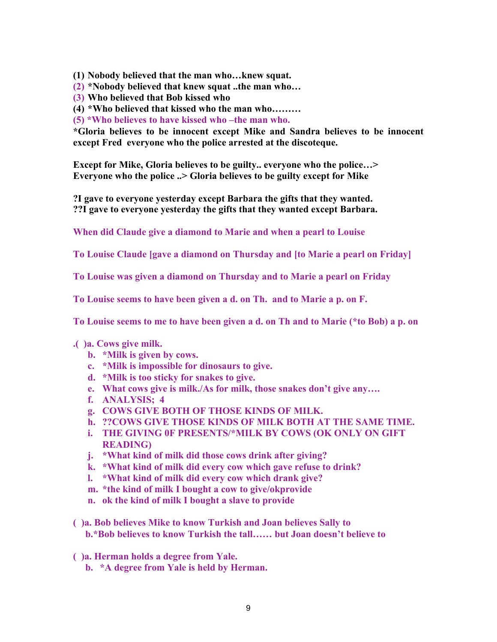**(1) Nobody believed that the man who…knew squat.**

**(2) \*Nobody believed that knew squat ..the man who…**

**(3) Who believed that Bob kissed who**

**(4) \*Who believed that kissed who the man who………**

**(5) \*Who believes to have kissed who –the man who.**

**\*Gloria believes to be innocent except Mike and Sandra believes to be innocent except Fred everyone who the police arrested at the discoteque.**

**Except for Mike, Gloria believes to be guilty.. everyone who the police…> Everyone who the police ..> Gloria believes to be guilty except for Mike**

**?I gave to everyone yesterday except Barbara the gifts that they wanted. ??I gave to everyone yesterday the gifts that they wanted except Barbara.**

**When did Claude give a diamond to Marie and when a pearl to Louise**

**To Louise Claude [gave a diamond on Thursday and [to Marie a pearl on Friday]**

**To Louise was given a diamond on Thursday and to Marie a pearl on Friday**

**To Louise seems to have been given a d. on Th. and to Marie a p. on F.**

**To Louise seems to me to have been given a d. on Th and to Marie (\*to Bob) a p. on** 

## **.( )a. Cows give milk.**

- **b. \*Milk is given by cows.**
- **c. \*Milk is impossible for dinosaurs to give.**
- **d. \*Milk is too sticky for snakes to give.**
- **e. What cows give is milk./As for milk, those snakes don't give any….**
- **f. ANALYSIS; 4**
- **g. COWS GIVE BOTH OF THOSE KINDS OF MILK.**
- **h. ??COWS GIVE THOSE KINDS OF MILK BOTH AT THE SAME TIME.**
- **i. THE GIVING 0F PRESENTS/\*MILK BY COWS (OK ONLY ON GIFT READING)**
- **j. \*What kind of milk did those cows drink after giving?**
- **k. \*What kind of milk did every cow which gave refuse to drink?**
- **l. \*What kind of milk did every cow which drank give?**
- **m. \*the kind of milk I bought a cow to give/okprovide**
- **n. ok the kind of milk I bought a slave to provide**
- **( )a. Bob believes Mike to know Turkish and Joan believes Sally to b.\*Bob believes to know Turkish the tall…… but Joan doesn't believe to**
- **( )a. Herman holds a degree from Yale.**
	- **b. \*A degree from Yale is held by Herman.**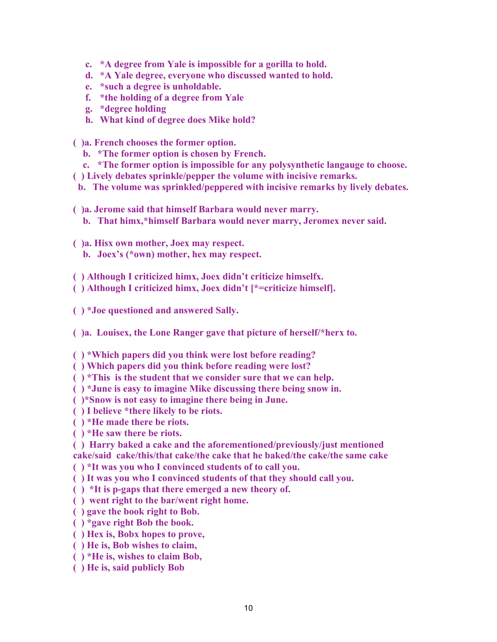- **c. \*A degree from Yale is impossible for a gorilla to hold.**
- **d. \*A Yale degree, everyone who discussed wanted to hold.**
- **e. \*such a degree is unholdable.**
- **f. \*the holding of a degree from Yale**
- **g. \*degree holding**
- **h. What kind of degree does Mike hold?**

**( )a. French chooses the former option.**

- **b. \*The former option is chosen by French.**
- **c. \*The former option is impossible for any polysynthetic langauge to choose.**
- **( ) Lively debates sprinkle/pepper the volume with incisive remarks.**
- **b. The volume was sprinkled/peppered with incisive remarks by lively debates.**
- **( )a. Jerome said that himself Barbara would never marry.**
- **b. That himx,\*himself Barbara would never marry, Jeromex never said.**
- **( )a. Hisx own mother, Joex may respect.**
	- **b. Joex's (\*own) mother, hex may respect.**
- **( ) Although I criticized himx, Joex didn't criticize himselfx.**
- **( ) Although I criticized himx, Joex didn't [\*=criticize himself].**
- **( ) \*Joe questioned and answered Sally.**
- **( )a. Louisex, the Lone Ranger gave that picture of herself/\*herx to.**
- **( ) \*Which papers did you think were lost before reading?**
- **( ) Which papers did you think before reading were lost?**
- **( ) \*This is the student that we consider sure that we can help.**
- **( ) \*June is easy to imagine Mike discussing there being snow in.**
- **( )\*Snow is not easy to imagine there being in June.**
- **( ) I believe \*there likely to be riots.**
- **( ) \*He made there be riots.**
- **( ) \*He saw there be riots.**
- **( ) Harry baked a cake and the aforementioned/previously/just mentioned**
- **cake/said cake/this/that cake/the cake that he baked/the cake/the same cake**
- **( ) \*It was you who I convinced students of to call you.**
- **( ) It was you who I convinced students of that they should call you.**
- **( ) \*It is p-gaps that there emerged a new theory of.**
- **( ) went right to the bar/went right home.**
- **( ) gave the book right to Bob.**
- **( ) \*gave right Bob the book.**
- **( ) Hex is, Bobx hopes to prove,**
- **( ) He is, Bob wishes to claim,**
- **( ) \*He is, wishes to claim Bob,**
- **( ) He is, said publicly Bob**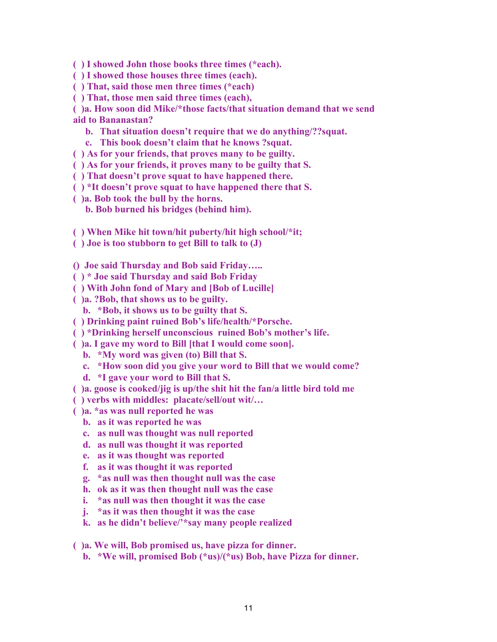- **( ) I showed John those books three times (\*each).**
- **( ) I showed those houses three times (each).**
- **( ) That, said those men three times (\*each)**
- **( ) That, those men said three times (each),**
- **( )a. How soon did Mike/\*those facts/that situation demand that we send aid to Bananastan?**
	- **b. That situation doesn't require that we do anything/??squat.**
	- **c. This book doesn't claim that he knows ?squat.**
- **( ) As for your friends, that proves many to be guilty.**
- **( ) As for your friends, it proves many to be guilty that S.**
- **( ) That doesn't prove squat to have happened there.**
- **( ) \*It doesn't prove squat to have happened there that S.**
- **( )a. Bob took the bull by the horns.**
	- **b. Bob burned his bridges (behind him).**
- **( ) When Mike hit town/hit puberty/hit high school/\*it;**
- **( ) Joe is too stubborn to get Bill to talk to (J)**
- **() Joe said Thursday and Bob said Friday…..**
- **( ) \* Joe said Thursday and said Bob Friday**
- **( ) With John fond of Mary and [Bob of Lucille]**
- **( )a. ?Bob, that shows us to be guilty.**
	- **b. \*Bob, it shows us to be guilty that S.**
- **( ) Drinking paint ruined Bob's life/health/\*Porsche.**
- **( ) \*Drinking herself unconscious ruined Bob's mother's life.**
- **( )a. I gave my word to Bill [that I would come soon].**
- **b. \*My word was given (to) Bill that S.**
- **c. \*How soon did you give your word to Bill that we would come?**
- **d. \*I gave your word to Bill that S.**
- **( )a. goose is cooked/jig is up/the shit hit the fan/a little bird told me**
- **( ) verbs with middles: placate/sell/out wit/…**
- **( )a. \*as was null reported he was**
	- **b. as it was reported he was**
	- **c. as null was thought was null reported**
	- **d. as null was thought it was reported**
	- **e. as it was thought was reported**
	- **f. as it was thought it was reported**
	- **g. \*as null was then thought null was the case**
	- **h. ok as it was then thought null was the case**
	- **i. \*as null was then thought it was the case**
	- **j. \*as it was then thought it was the case**
	- **k. as he didn't believe/'\*say many people realized**

**( )a. We will, Bob promised us, have pizza for dinner.**

**b. \*We will, promised Bob (\*us)/(\*us) Bob, have Pizza for dinner.**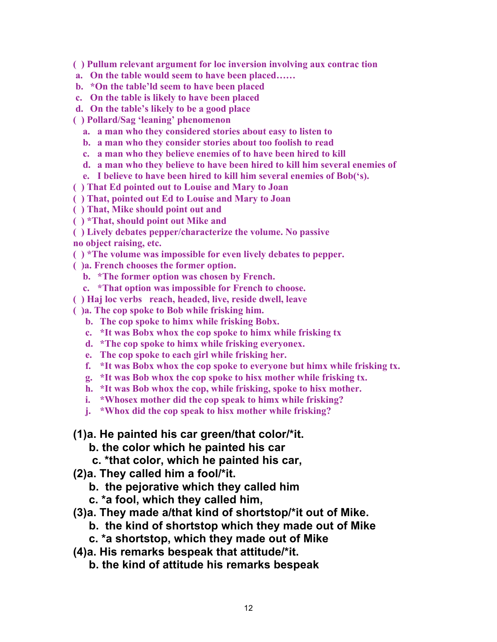**( ) Pullum relevant argument for loc inversion involving aux contrac tion**

- **a. On the table would seem to have been placed……**
- **b. \*On the table'ld seem to have been placed**
- **c. On the table is likely to have been placed**
- **d. On the table's likely to be a good place**

**( ) Pollard/Sag 'leaning' phenomenon**

- **a. a man who they considered stories about easy to listen to**
- **b. a man who they consider stories about too foolish to read**
- **c. a man who they believe enemies of to have been hired to kill**
- **d. a man who they believe to have been hired to kill him several enemies of**
- **e. I believe to have been hired to kill him several enemies of Bob('s).**
- **( ) That Ed pointed out to Louise and Mary to Joan**
- **( ) That, pointed out Ed to Louise and Mary to Joan**
- **( ) That, Mike should point out and**
- **( ) \*That, should point out Mike and**
- **( ) Lively debates pepper/characterize the volume. No passive no object raising, etc.**
- **( ) \*The volume was impossible for even lively debates to pepper.**
- **( )a. French chooses the former option.**
	- **b. \*The former option was chosen by French.**
	- **c. \*That option was impossible for French to choose.**
- **( ) Haj loc verbs reach, headed, live, reside dwell, leave**
- **( )a. The cop spoke to Bob while frisking him.**
	- **b. The cop spoke to himx while frisking Bobx.**
	- **c. \*It was Bobx whox the cop spoke to himx while frisking tx**
	- **d. \*The cop spoke to himx while frisking everyonex.**
	- **e. The cop spoke to each girl while frisking her.**
	- **f. \*It was Bobx whox the cop spoke to everyone but himx while frisking tx.**
	- **g. \*It was Bob whox the cop spoke to hisx mother while frisking tx.**
	- **h. \*It was Bob whox the cop, while frisking, spoke to hisx mother.**
	- **i. \*Whosex mother did the cop speak to himx while frisking?**
	- **j. \*Whox did the cop speak to hisx mother while frisking?**

## **(1)a. He painted his car green/that color/\*it.**

- **b. the color which he painted his car**
- **c. \*that color, which he painted his car,**
- **(2)a. They called him a fool/\*it.**
	- **b. the pejorative which they called him**
	- **c. \*a fool, which they called him,**
- **(3)a. They made a/that kind of shortstop/\*it out of Mike.**
	- **b. the kind of shortstop which they made out of Mike**
	- **c. \*a shortstop, which they made out of Mike**
- **(4)a. His remarks bespeak that attitude/\*it.**
	- **b. the kind of attitude his remarks bespeak**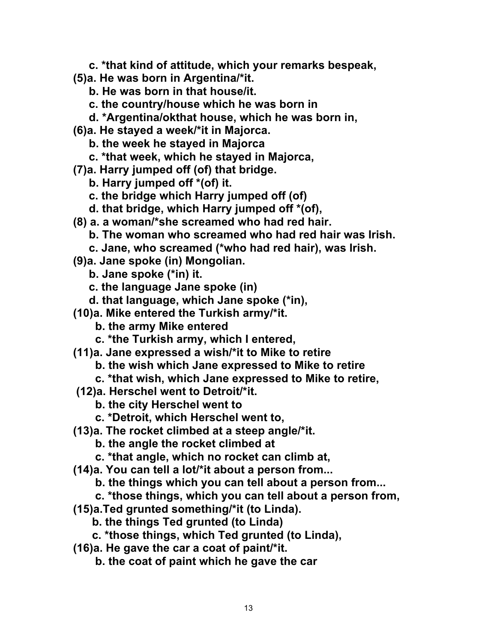- **c. \*that kind of attitude, which your remarks bespeak,**
- **(5)a. He was born in Argentina/\*it.**
	- **b. He was born in that house/it.**
	- **c. the country/house which he was born in**
	- **d. \*Argentina/okthat house, which he was born in,**
- **(6)a. He stayed a week/\*it in Majorca.**
	- **b. the week he stayed in Majorca**
	- **c. \*that week, which he stayed in Majorca,**
- **(7)a. Harry jumped off (of) that bridge.**
	- **b. Harry jumped off \*(of) it.**
	- **c. the bridge which Harry jumped off (of)**
	- **d. that bridge, which Harry jumped off \*(of),**
- **(8) a. a woman/\*she screamed who had red hair.**
	- **b. The woman who screamed who had red hair was Irish.**
	- **c. Jane, who screamed (\*who had red hair), was Irish.**
- **(9)a. Jane spoke (in) Mongolian.**
	- **b. Jane spoke (\*in) it.**
	- **c. the language Jane spoke (in)**
	- **d. that language, which Jane spoke (\*in),**
- **(10)a. Mike entered the Turkish army/\*it.**
	- **b. the army Mike entered**
	- **c. \*the Turkish army, which I entered,**
- **(11)a. Jane expressed a wish/\*it to Mike to retire**
	- **b. the wish which Jane expressed to Mike to retire**
	- **c. \*that wish, which Jane expressed to Mike to retire,**
- **(12)a. Herschel went to Detroit/\*it.**
	- **b. the city Herschel went to**
	- **c. \*Detroit, which Herschel went to,**
- **(13)a. The rocket climbed at a steep angle/\*it.**
	- **b. the angle the rocket climbed at**
	- **c. \*that angle, which no rocket can climb at,**
- **(14)a. You can tell a lot/\*it about a person from...**
	- **b. the things which you can tell about a person from...**
	- **c. \*those things, which you can tell about a person from,**
- **(15)a.Ted grunted something/\*it (to Linda).**
	- **b. the things Ted grunted (to Linda)**
	- **c. \*those things, which Ted grunted (to Linda),**
- **(16)a. He gave the car a coat of paint/\*it.**
	- **b. the coat of paint which he gave the car**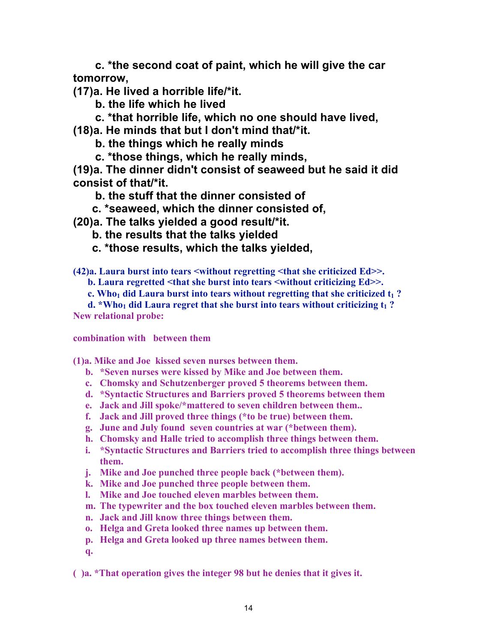**c. \*the second coat of paint, which he will give the car tomorrow,**

**(17)a. He lived a horrible life/\*it.**

 **b. the life which he lived**

 **c. \*that horrible life, which no one should have lived,**

**(18)a. He minds that but I don't mind that/\*it.**

 **b. the things which he really minds**

 **c. \*those things, which he really minds,**

**(19)a. The dinner didn't consist of seaweed but he said it did consist of that/\*it.**

 **b. the stuff that the dinner consisted of**

 **c. \*seaweed, which the dinner consisted of,**

**(20)a. The talks yielded a good result/\*it.**

- **b. the results that the talks yielded**
- **c. \*those results, which the talks yielded,**

**(42)a. Laura burst into tears <without regretting <that she criticized Ed>>.**

**b. Laura regretted <that she burst into tears <without criticizing Ed>>.**

**c. Who<sub>1</sub> did Laura burst into tears without regretting that she criticized t<sub>1</sub>?** 

**d. \*Who<sub>1</sub> did Laura regret that she burst into tears without criticizing**  $t_1$ **? New relational probe:**

**combination with between them**

**(1)a. Mike and Joe kissed seven nurses between them.**

- **b. \*Seven nurses were kissed by Mike and Joe between them.**
- **c. Chomsky and Schutzenberger proved 5 theorems between them.**
- **d. \*Syntactic Structures and Barriers proved 5 theorems between them**
- **e. Jack and Jill spoke/\*mattered to seven children between them..**
- **f. Jack and Jill proved three things (\*to be true) between them.**
- **g. June and July found seven countries at war (\*between them).**
- **h. Chomsky and Halle tried to accomplish three things between them.**
- **i. \*Syntactic Structures and Barriers tried to accomplish three things between them.**
- **j. Mike and Joe punched three people back (\*between them).**
- **k. Mike and Joe punched three people between them.**
- **l. Mike and Joe touched eleven marbles between them.**
- **m. The typewriter and the box touched eleven marbles between them.**
- **n. Jack and Jill know three things between them.**
- **o. Helga and Greta looked three names up between them.**
- **p. Helga and Greta looked up three names between them.**
- **q.**

**( )a. \*That operation gives the integer 98 but he denies that it gives it.**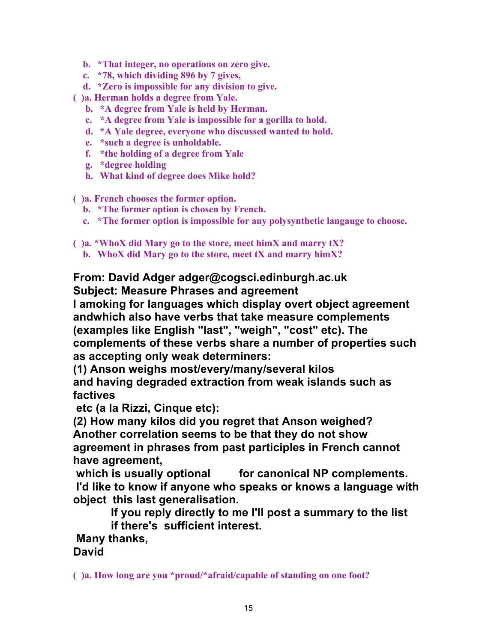- **b. \*That integer, no operations on zero give.**
- **c. \*78, which dividing 896 by 7 gives,**
- **d. \*Zero is impossible for any division to give.**
- **( )a. Herman holds a degree from Yale.**
	- **b. \*A degree from Yale is held by Herman.**
	- **c. \*A degree from Yale is impossible for a gorilla to hold.**
	- **d. \*A Yale degree, everyone who discussed wanted to hold.**
	- **e. \*such a degree is unholdable.**
	- **f. \*the holding of a degree from Yale**
	- **g. \*degree holding**
	- **h. What kind of degree does Mike hold?**
- **( )a. French chooses the former option.**
	- **b. \*The former option is chosen by French.**
	- **c. \*The former option is impossible for any polysynthetic langauge to choose.**
- **( )a. \*WhoX did Mary go to the store, meet himX and marry tX?**
	- **b. WhoX did Mary go to the store, meet tX and marry himX?**

## **From: David Adger adger@cogsci.edinburgh.ac.uk Subject: Measure Phrases and agreement**

**I amoking for languages which display overt object agreement andwhich also have verbs that take measure complements (examples like English "last", "weigh", "cost" etc). The complements of these verbs share a number of properties such as accepting only weak determiners:**

**(1) Anson weighs most/every/many/several kilos and having degraded extraction from weak islands such as factives**

 **etc (a la Rizzi, Cinque etc):**

**(2) How many kilos did you regret that Anson weighed? Another correlation seems to be that they do not show agreement in phrases from past participles in French cannot have agreement,**

which is usually optional for canonical NP complements.  **I'd like to know if anyone who speaks or knows a language with object this last generalisation.**

> **If you reply directly to me I'll post a summary to the list if there's sufficient interest.**

 **Many thanks, David**

**( )a. How long are you \*proud/\*afraid/capable of standing on one foot?**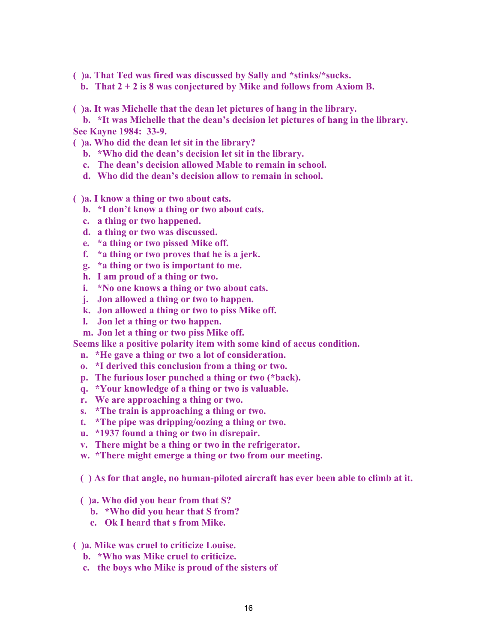**( )a. That Ted was fired was discussed by Sally and \*stinks/\*sucks.**

**b. That 2 + 2 is 8 was conjectured by Mike and follows from Axiom B.**

**( )a. It was Michelle that the dean let pictures of hang in the library.**

**b. \*It was Michelle that the dean's decision let pictures of hang in the library. See Kayne 1984: 33-9.**

- **( )a. Who did the dean let sit in the library?**
	- **b. \*Who did the dean's decision let sit in the library.**
	- **c. The dean's decision allowed Mable to remain in school.**
	- **d. Who did the dean's decision allow to remain in school.**
- **( )a. I know a thing or two about cats.**
	- **b. \*I don't know a thing or two about cats.**
	- **c. a thing or two happened.**
	- **d. a thing or two was discussed.**
	- **e. \*a thing or two pissed Mike off.**
	- **f. \*a thing or two proves that he is a jerk.**
	- **g. \*a thing or two is important to me.**
	- **h. I am proud of a thing or two.**
	- **i. \*No one knows a thing or two about cats.**
	- **j. Jon allowed a thing or two to happen.**
	- **k. Jon allowed a thing or two to piss Mike off.**
	- **l. Jon let a thing or two happen.**
	- **m. Jon let a thing or two piss Mike off.**

**Seems like a positive polarity item with some kind of accus condition.**

- **n. \*He gave a thing or two a lot of consideration.**
- **o. \*I derived this conclusion from a thing or two.**
- **p. The furious loser punched a thing or two (\*back).**
- **q. \*Your knowledge of a thing or two is valuable.**
- **r. We are approaching a thing or two.**
- **s. \*The train is approaching a thing or two.**
- **t. \*The pipe was dripping/oozing a thing or two.**
- **u. \*1937 found a thing or two in disrepair.**
- **v. There might be a thing or two in the refrigerator.**
- **w. \*There might emerge a thing or two from our meeting.**

**( ) As for that angle, no human-piloted aircraft has ever been able to climb at it.**

- **( )a. Who did you hear from that S?**
	- **b. \*Who did you hear that S from?**
	- **c. Ok I heard that s from Mike.**
- **( )a. Mike was cruel to criticize Louise.**
	- **b. \*Who was Mike cruel to criticize.**
	- **c. the boys who Mike is proud of the sisters of**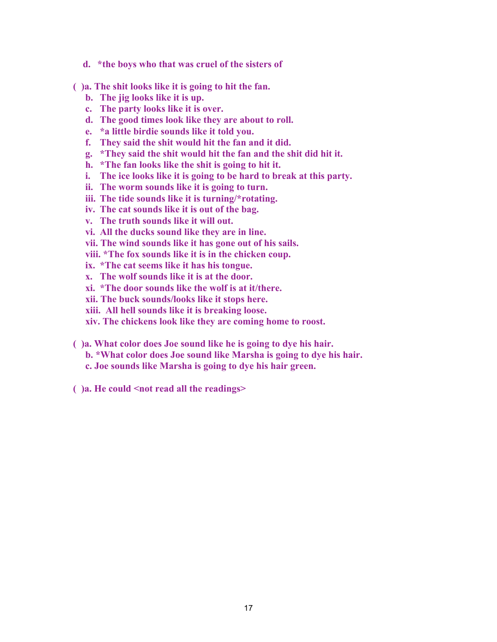- **d. \*the boys who that was cruel of the sisters of**
- **( )a. The shit looks like it is going to hit the fan.**
	- **b. The jig looks like it is up.**
	- **c. The party looks like it is over.**
	- **d. The good times look like they are about to roll.**
	- **e. \*a little birdie sounds like it told you.**
	- **f. They said the shit would hit the fan and it did.**
	- **g. \*They said the shit would hit the fan and the shit did hit it.**
	- **h. \*The fan looks like the shit is going to hit it.**
	- **i. The ice looks like it is going to be hard to break at this party.**
	- **ii. The worm sounds like it is going to turn.**
	- **iii. The tide sounds like it is turning/\*rotating.**
	- **iv. The cat sounds like it is out of the bag.**
	- **v. The truth sounds like it will out.**
	- **vi. All the ducks sound like they are in line.**
	- **vii. The wind sounds like it has gone out of his sails.**
	- **viii. \*The fox sounds like it is in the chicken coup.**
	- **ix. \*The cat seems like it has his tongue.**
	- **x. The wolf sounds like it is at the door.**
	- **xi. \*The door sounds like the wolf is at it/there.**
	- **xii. The buck sounds/looks like it stops here.**
	- **xiii. All hell sounds like it is breaking loose.**
	- **xiv. The chickens look like they are coming home to roost.**
- **( )a. What color does Joe sound like he is going to dye his hair.**
	- **b. \*What color does Joe sound like Marsha is going to dye his hair.**
	- **c. Joe sounds like Marsha is going to dye his hair green.**
- **( )a. He could <not read all the readings>**